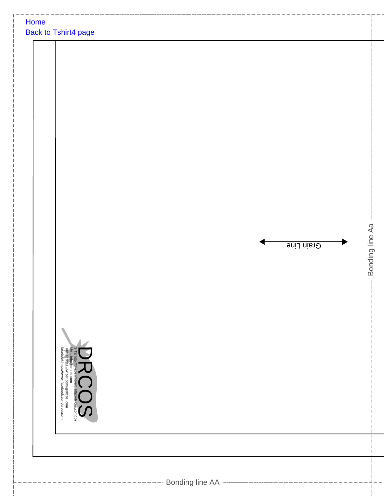| Home<br><b>Back to Tshirt4 page</b>                                                                                                                                                         |                               |
|---------------------------------------------------------------------------------------------------------------------------------------------------------------------------------------------|-------------------------------|
| SITE http://dr-cos.info(en). http://dr-cos.com(jp)<br>NAIL info@dr-cos.com<br>Twittet https://wwitter.com/@drcos_com<br>facebook https://www.facebook.com/drcoscom<br>http://dr-cos.com(jp) | Bonding line Aa<br>Grain Line |
|                                                                                                                                                                                             |                               |
|                                                                                                                                                                                             |                               |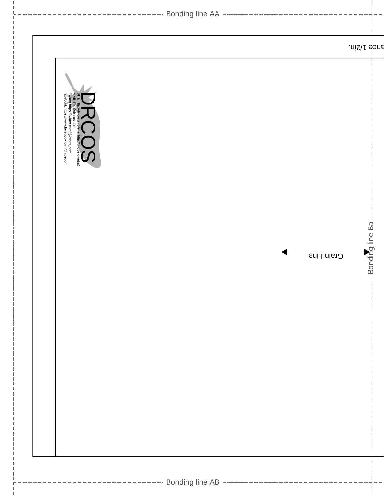|                                                                                                                                                                                                 | ------------------------ Bonding line AA -------------------------------- |                                  |
|-------------------------------------------------------------------------------------------------------------------------------------------------------------------------------------------------|---------------------------------------------------------------------------|----------------------------------|
|                                                                                                                                                                                                 |                                                                           | ance 1/2in.                      |
| SITE http://dr-cos.info(en). http://dr-cos.com/(p)<br>MAIL. info@dr-cos.com<br>MAIL. info@dr-cos.com<br>Twitter https://www.facebook.com/drcoscom<br>facebook https://www.facebook.com/drcoscom |                                                                           |                                  |
|                                                                                                                                                                                                 |                                                                           | -- Bonding line Ba<br>Grain Line |
|                                                                                                                                                                                                 |                                                                           |                                  |
|                                                                                                                                                                                                 |                                                                           |                                  |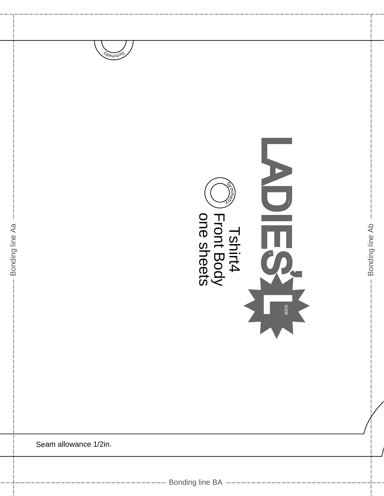



Bonding line Ab

Seam allowance 1/2in.

Bonding line Aa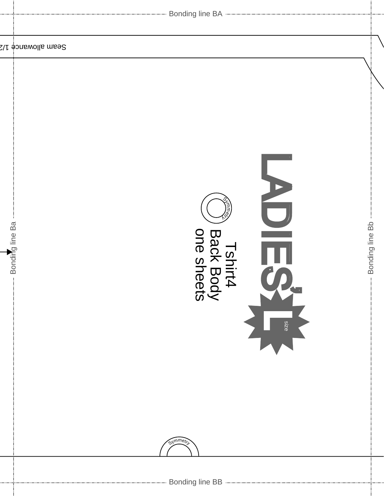|                    | Seam allowancė 1/2                                                                                               |                                  |
|--------------------|------------------------------------------------------------------------------------------------------------------|----------------------------------|
| -- Bonding line Ba | D<br>$\overline{\phantom{0}}$<br>$\equiv$<br>Tshirt4<br>Back Body<br>one sheets<br>Ħ<br>8<br>12<br>6<br>Symmetri | Bonding line Bb<br>$\frac{1}{2}$ |
|                    | Bonding line BB -------------------------------                                                                  |                                  |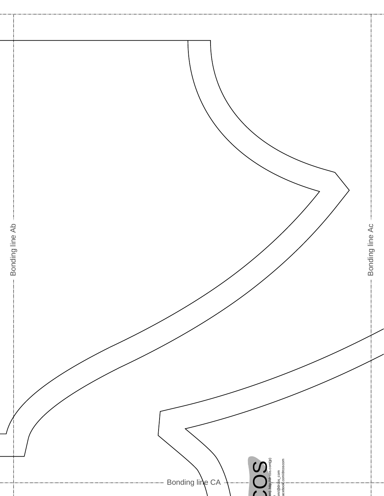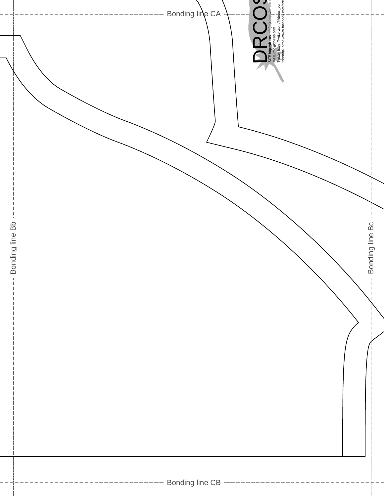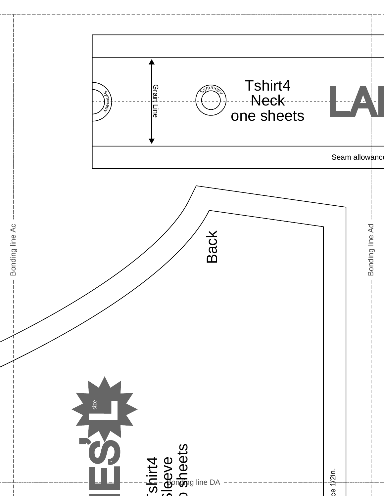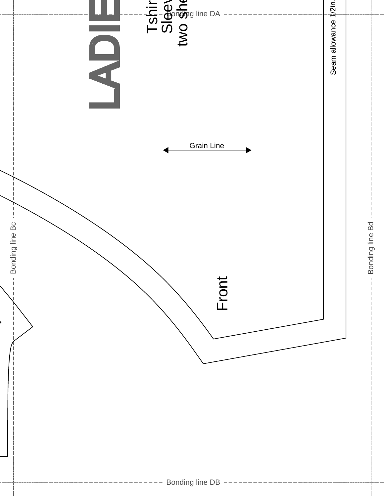